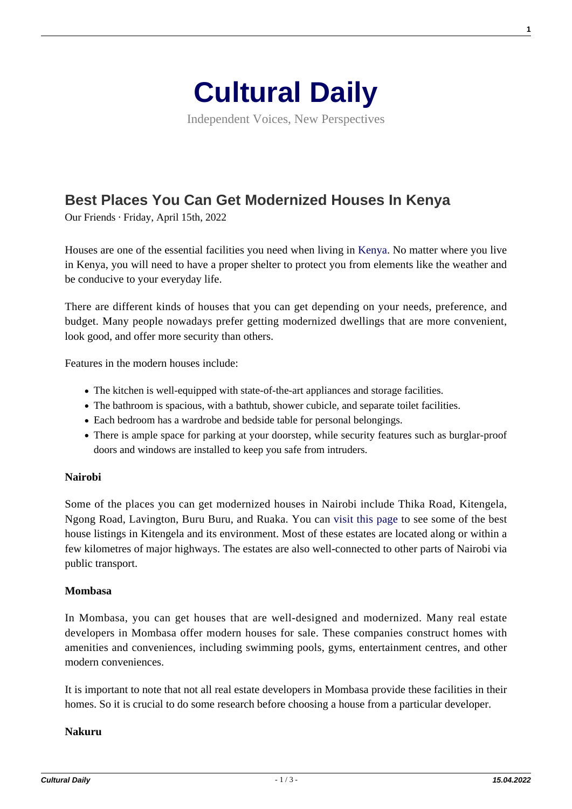

Independent Voices, New Perspectives

# **[Best Places You Can Get Modernized Houses In Kenya](https://culturaldaily.com/best-places-you-can-get-modernized-houses-in-kenya/)**

Our Friends · Friday, April 15th, 2022

Houses are one of the essential facilities you need when living in [Kenya](https://en.wikipedia.org/wiki/Kenya). No matter where you live in Kenya, you will need to have a proper shelter to protect you from elements like the weather and be conducive to your everyday life.

There are different kinds of houses that you can get depending on your needs, preference, and budget. Many people nowadays prefer getting modernized dwellings that are more convenient, look good, and offer more security than others.

Features in the modern houses include:

- The kitchen is well-equipped with state-of-the-art appliances and storage facilities.
- The bathroom is spacious, with a bathtub, shower cubicle, and separate toilet facilities.
- Each bedroom has a wardrobe and bedside table for personal belongings.
- There is ample space for parking at your doorstep, while security features such as burglar-proof doors and windows are installed to keep you safe from intruders.

## **Nairobi**

Some of the places you can get modernized houses in Nairobi include Thika Road, Kitengela, Ngong Road, Lavington, Buru Buru, and Ruaka. You can [visit this page](https://hauzisha.co.ke/houses-for-sale/kitengela) to see some of the best house listings in Kitengela and its environment. Most of these estates are located along or within a few kilometres of major highways. The estates are also well-connected to other parts of Nairobi via public transport.

## **Mombasa**

In Mombasa, you can get houses that are well-designed and modernized. Many real estate developers in Mombasa offer modern houses for sale. These companies construct homes with amenities and conveniences, including swimming pools, gyms, entertainment centres, and other modern conveniences.

It is important to note that not all real estate developers in Mombasa provide these facilities in their homes. So it is crucial to do some research before choosing a house from a particular developer.

## **Nakuru**

**1**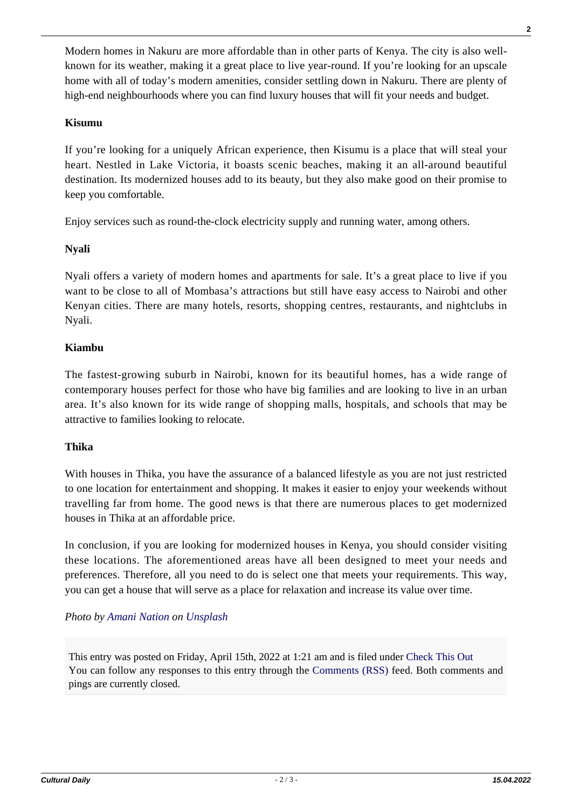Modern homes in Nakuru are more affordable than in other parts of Kenya. The city is also wellknown for its weather, making it a great place to live year-round. If you're looking for an upscale home with all of today's modern amenities, consider settling down in Nakuru. There are plenty of high-end neighbourhoods where you can find luxury houses that will fit your needs and budget.

# **Kisumu**

If you're looking for a uniquely African experience, then Kisumu is a place that will steal your heart. Nestled in Lake Victoria, it boasts scenic beaches, making it an all-around beautiful destination. Its modernized houses add to its beauty, but they also make good on their promise to keep you comfortable.

Enjoy services such as round-the-clock electricity supply and running water, among others.

## **Nyali**

Nyali offers a variety of modern homes and apartments for sale. It's a great place to live if you want to be close to all of Mombasa's attractions but still have easy access to Nairobi and other Kenyan cities. There are many hotels, resorts, shopping centres, restaurants, and nightclubs in Nyali.

## **Kiambu**

The fastest-growing suburb in Nairobi, known for its beautiful homes, has a wide range of contemporary houses perfect for those who have big families and are looking to live in an urban area. It's also known for its wide range of shopping malls, hospitals, and schools that may be attractive to families looking to relocate.

## **Thika**

With houses in Thika, you have the assurance of a balanced lifestyle as you are not just restricted to one location for entertainment and shopping. It makes it easier to enjoy your weekends without travelling far from home. The good news is that there are numerous places to get modernized houses in Thika at an affordable price.

In conclusion, if you are looking for modernized houses in Kenya, you should consider visiting these locations. The aforementioned areas have all been designed to meet your needs and preferences. Therefore, all you need to do is select one that meets your requirements. This way, you can get a house that will serve as a place for relaxation and increase its value over time.

## *Photo by [Amani Nation](https://unsplash.com/@amani_nation?utm_source=unsplash&utm_medium=referral&utm_content=creditCopyText) on [Unsplash](https://unsplash.com/s/photos/kenya?utm_source=unsplash&utm_medium=referral&utm_content=creditCopyText)*

This entry was posted on Friday, April 15th, 2022 at 1:21 am and is filed under [Check This Out](https://culturaldaily.com/category/check-this-out/) You can follow any responses to this entry through the [Comments \(RSS\)](https://culturaldaily.com/comments/feed/) feed. Both comments and pings are currently closed.